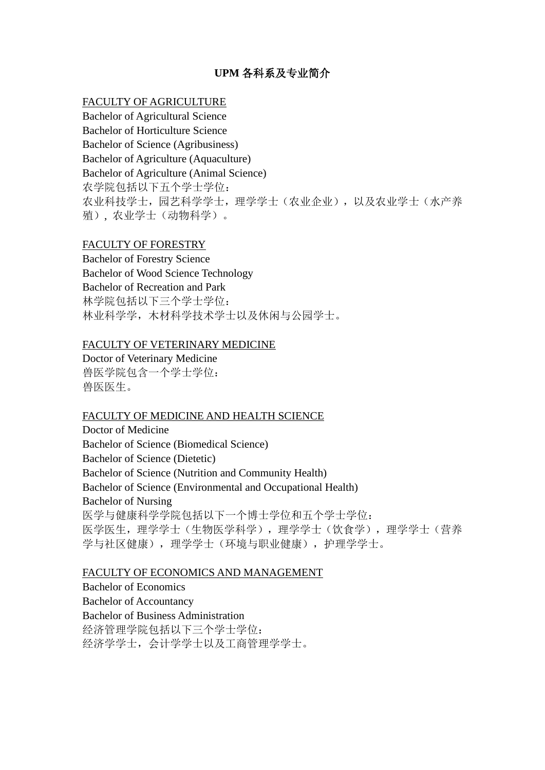# **UPM** 各科系及专业简介

### FACULTY OF AGRICULTURE

Bachelor of Agricultural Science Bachelor of Horticulture Science Bachelor of Science (Agribusiness) Bachelor of Agriculture (Aquaculture) Bachelor of Agriculture (Animal Science) 农学院包括以下五个学士学位: 农业科技学士, 园艺科学学士, 理学学士(农业企业), 以及农业学士(水产养 殖), 农业学士(动物科学)。

### FACULTY OF FORESTRY

Bachelor of Forestry Science Bachelor of Wood Science Technology Bachelor of Recreation and Park 林学院包括以下三个学士学位: 林业科学学,木材科学技术学士以及休闲与公园学士。

#### FACULTY OF VETERINARY MEDICINE

Doctor of Veterinary Medicine 兽医学院包含一个学士学位: 兽医医生。

#### FACULTY OF MEDICINE AND HEALTH SCIENCE

Doctor of Medicine Bachelor of Science (Biomedical Science) Bachelor of Science (Dietetic) Bachelor of Science (Nutrition and Community Health) Bachelor of Science (Environmental and Occupational Health) Bachelor of Nursing 医学与健康科学学院包括以下一个博士学位和五个学士学位: 医学医生,理学学士(生物医学科学),理学学士(饮食学),理学学士(营养 学与社区健康),理学学士(环境与职业健康),护理学学士。

#### FACULTY OF ECONOMICS AND MANAGEMENT

Bachelor of Economics Bachelor of Accountancy Bachelor of Business Administration 经济管理学院包括以下三个学士学位: 经济学学士,会计学学士以及工商管理学学士。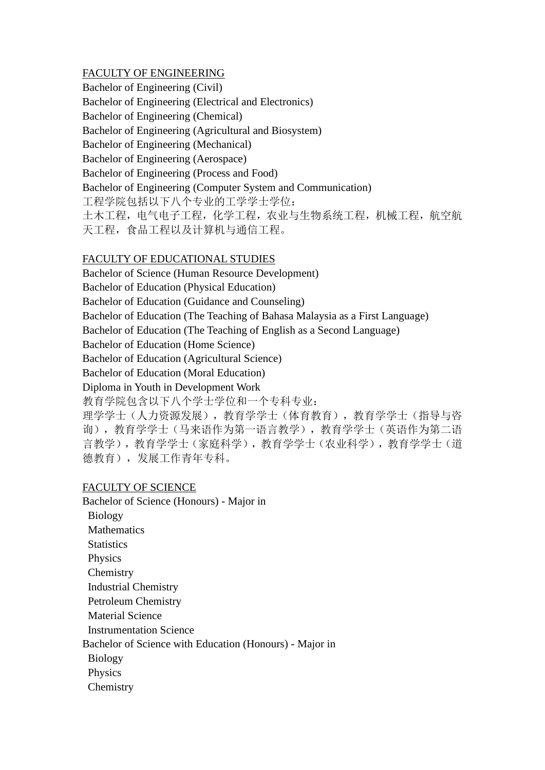# FACULTY OF ENGINEERING

Bachelor of Engineering (Civil) Bachelor of Engineering (Electrical and Electronics) Bachelor of Engineering (Chemical) Bachelor of Engineering (Agricultural and Biosystem) Bachelor of Engineering (Mechanical) Bachelor of Engineering (Aerospace) Bachelor of Engineering (Process and Food) Bachelor of Engineering (Computer System and Communication) 工程学院包括以下八个专业的工学学士学位: 土木工程,电气电子工程,化学工程,农业与生物系统工程,机械工程,航空航 天工程,食品工程以及计算机与通信工程。

# FACULTY OF EDUCATIONAL STUDIES

Bachelor of Science (Human Resource Development) Bachelor of Education (Physical Education) Bachelor of Education (Guidance and Counseling) Bachelor of Education (The Teaching of Bahasa Malaysia as a First Language) Bachelor of Education (The Teaching of English as a Second Language) Bachelor of Education (Home Science) Bachelor of Education (Agricultural Science) Bachelor of Education (Moral Education) Diploma in Youth in Development Work 教育学院包含以下八个学士学位和一个专科专业:

理学学士(人力资源发展),教育学学士(体育教育),教育学学士(指导与咨 询),教育学学士(马来语作为第一语言教学),教育学学士(英语作为第二语 言教学),教育学学士(家庭科学),教育学学士(农业科学),教育学学士(道 德教育),发展工作青年专科。

## FACULTY OF SCIENCE

- Bachelor of Science (Honours) Major in Biology **Mathematics Statistics** Physics **Chemistry** Industrial Chemistry Petroleum Chemistry Material Science Instrumentation Science Bachelor of Science with Education (Honours) - Major in Biology Physics
- **Chemistry**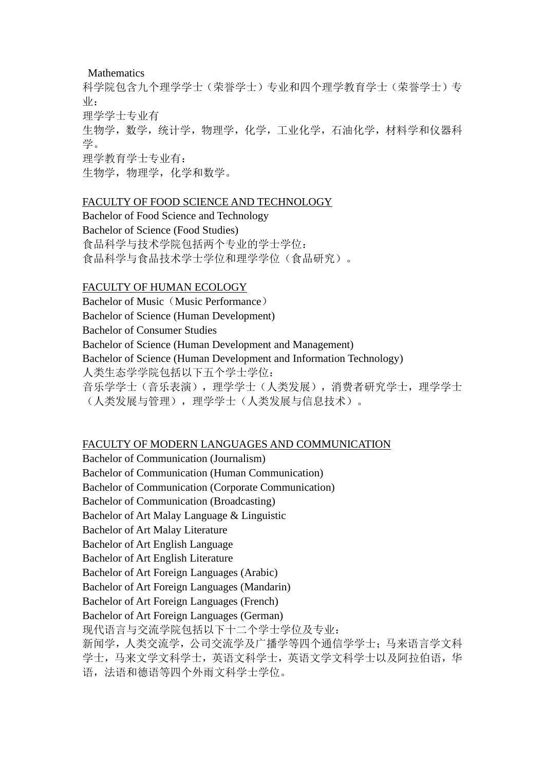#### Mathematics

科学院包含九个理学学士(荣誉学士)专业和四个理学教育学士(荣誉学士)专 业: 理学学士专业有 生物学,数学,统计学,物理学,化学,工业化学,石油化学,材料学和仪器科 学。 理学教育学士专业有: 生物学,物理学,化学和数学。

#### FACULTY OF FOOD SCIENCE AND TECHNOLOGY

Bachelor of Food Science and Technology Bachelor of Science (Food Studies) 食品科学与技术学院包括两个专业的学士学位: 食品科学与食品技术学士学位和理学学位(食品研究)。

#### FACULTY OF HUMAN ECOLOGY

Bachelor of Music (Music Performance) Bachelor of Science (Human Development) Bachelor of Consumer Studies Bachelor of Science (Human Development and Management) Bachelor of Science (Human Development and Information Technology) 人类生态学学院包括以下五个学士学位: 音乐学学士(音乐表演),理学学士(人类发展),消费者研究学士,理学学士 (人类发展与管理),理学学士(人类发展与信息技术)。

#### FACULTY OF MODERN LANGUAGES AND COMMUNICATION

Bachelor of Communication (Journalism) Bachelor of Communication (Human Communication) Bachelor of Communication (Corporate Communication) Bachelor of Communication (Broadcasting) Bachelor of Art Malay Language & Linguistic Bachelor of Art Malay Literature Bachelor of Art English Language Bachelor of Art English Literature Bachelor of Art Foreign Languages (Arabic) Bachelor of Art Foreign Languages (Mandarin) Bachelor of Art Foreign Languages (French) Bachelor of Art Foreign Languages (German) 现代语言与交流学院包括以下十二个学士学位及专业: 新闻学,人类交流学,公司交流学及广播学等四个通信学学士;马来语言学文科 学士,马来文学文科学士,英语文科学士,英语文学文科学士以及阿拉伯语,华 语,法语和德语等四个外雨文科学士学位。